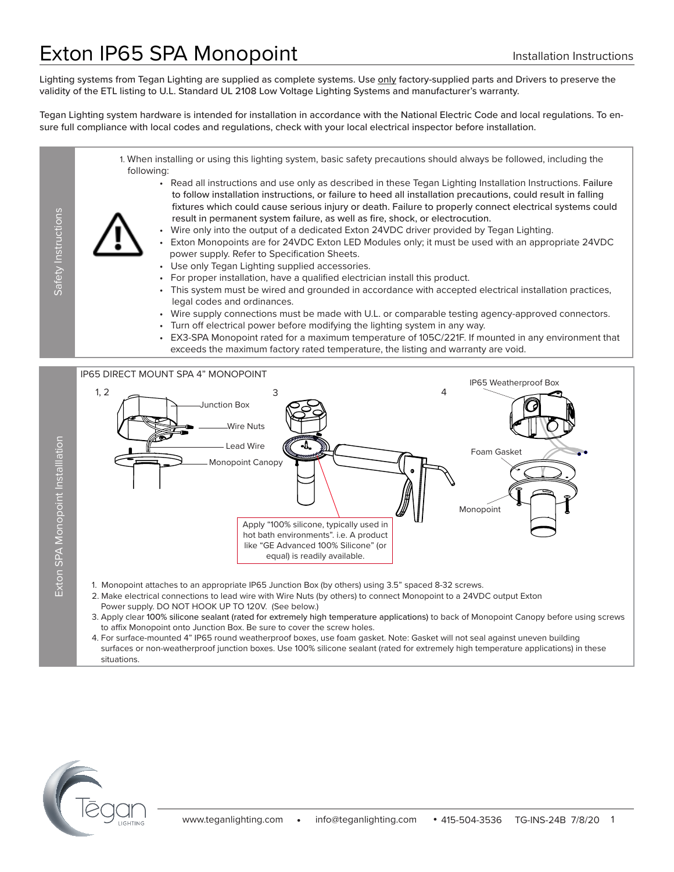# Exton IP65 SPA Monopoint **Installation Instructions**

Lighting systems from Tegan Lighting are supplied as complete systems. Use only factory-supplied parts and Drivers to preserve the validity of the ETL listing to U.L. Standard UL 2108 Low Voltage Lighting Systems and manufacturer's warranty.

Tegan Lighting system hardware is intended for installation in accordance with the National Electric Code and local regulations. To ensure full compliance with local codes and regulations, check with your local electrical inspector before installation.

1. When installing or using this lighting system, basic safety precautions should always be followed, including the following: • Read all instructions and use only as described in these Tegan Lighting Installation Instructions. Failure to follow installation instructions, or failure to heed all installation precautions, could result in falling fixtures which could cause serious injury or death. Failure to properly connect electrical systems could Safety Instructions Safety Instructions result in permanent system failure, as well as fire, shock, or electrocution. • Wire only into the output of a dedicated Exton 24VDC driver provided by Tegan Lighting. • Exton Monopoints are for 24VDC Exton LED Modules only; it must be used with an appropriate 24VDC power supply. Refer to Specification Sheets. Use only Tegan Lighting supplied accessories. • For proper installation, have a qualified electrician install this product. • This system must be wired and grounded in accordance with accepted electrical installation practices, legal codes and ordinances. Wire supply connections must be made with U.L. or comparable testing agency-approved connectors. • Turn off electrical power before modifying the lighting system in any way. • EX3-SPA Monopoint rated for a maximum temperature of 105C/221F. If mounted in any environment that exceeds the maximum factory rated temperature, the listing and warranty are void. IP65 DIRECT MOUNT SPA 4" MONOPOINT IP65 Weatherproof Box  $1, 2$   $\longrightarrow$   $3$   $4$ Junction Box Wire Nuts Exton SPA Monopoint Installlation Exton SPA Monopoint Installlation Lead Wire Foam Gasket

Monopoint Canopy Monopoint Apply "100% silicone, typically used in hot bath environments". i.e. A product like "GE Advanced 100% Silicone" (or equal) is readily available.

- 1. Monopoint attaches to an appropriate IP65 Junction Box (by others) using 3.5" spaced 8-32 screws.
- 2. Make electrical connections to lead wire with Wire Nuts (by others) to connect Monopoint to a 24VDC output Exton Power supply. DO NOT HOOK UP TO 120V. (See below.)
- 3. Apply clear 100% silicone sealant (rated for extremely high temperature applications) to back of Monopoint Canopy before using screws to affix Monopoint onto Junction Box. Be sure to cover the screw holes.
- 4. For surface-mounted 4" IP65 round weatherproof boxes, use foam gasket. Note: Gasket will not seal against uneven building surfaces or non-weatherproof junction boxes. Use 100% silicone sealant (rated for extremely high temperature applications) in these situations.

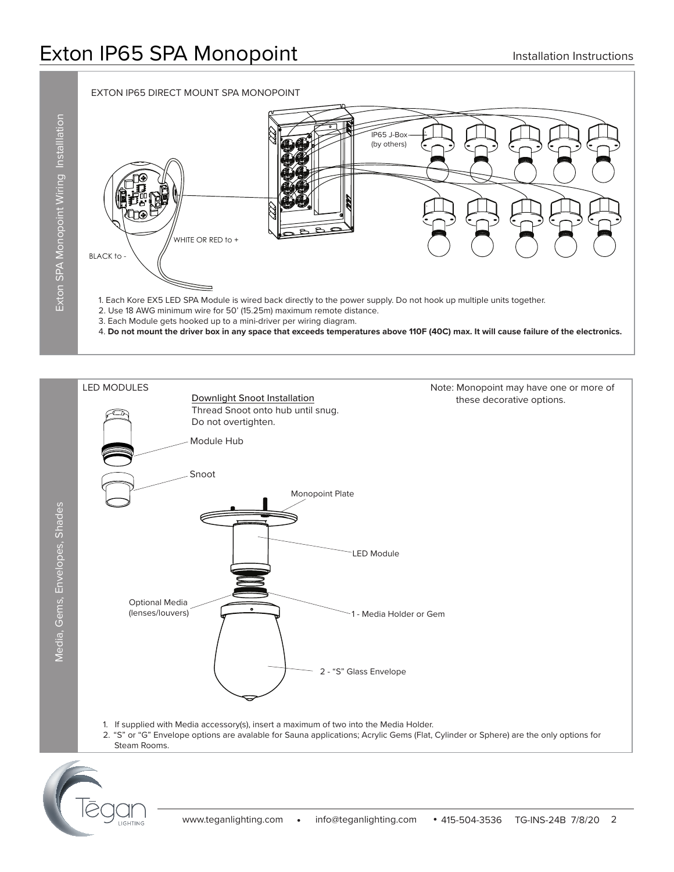



- 1. If supplied with Media accessory(s), insert a maximum of two into the Media Holder.
- 2. "S" or "G" Envelope options are avalable for Sauna applications; Acrylic Gems (Flat, Cylinder or Sphere) are the only options for Steam Rooms.

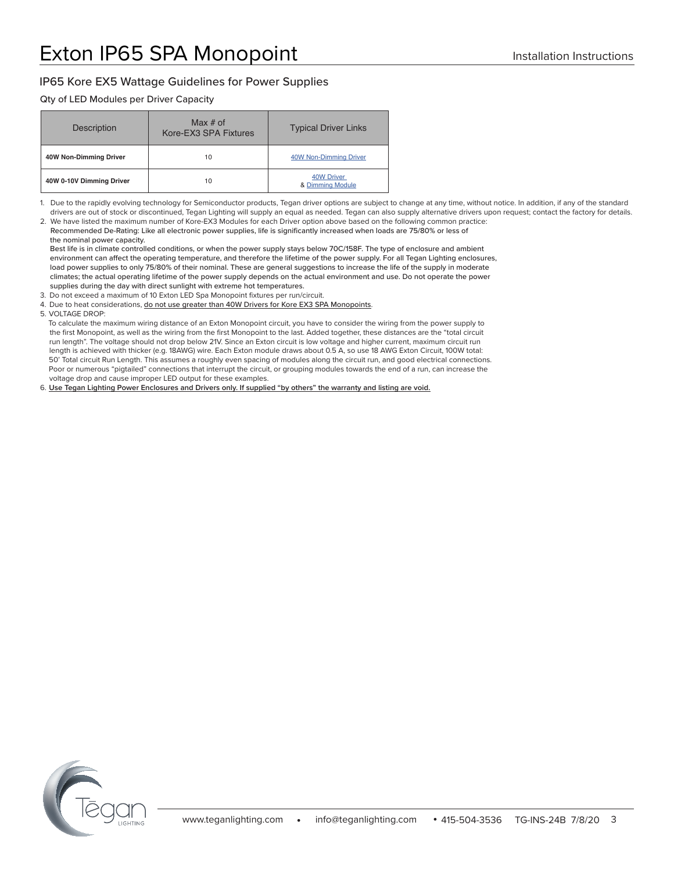#### IP65 Kore EX5 Wattage Guidelines for Power Supplies

#### Qty of LED Modules per Driver Capacity

| Description              | Max $#$ of<br>Kore-EX3 SPA Fixtures | <b>Typical Driver Links</b>           |
|--------------------------|-------------------------------------|---------------------------------------|
| 40W Non-Dimming Driver   | 10                                  | <b>40W Non-Dimming Driver</b>         |
| 40W 0-10V Dimming Driver | 10                                  | <b>40W Driver</b><br>& Dimming Module |

1. Due to the rapidly evolving technology for Semiconductor products, Tegan driver options are subject to change at any time, without notice. In addition, if any of the standard drivers are out of stock or discontinued, Tegan Lighting will supply an equal as needed. Tegan can also supply alternative drivers upon request; contact the factory for details.

2. We have listed the maximum number of Kore-EX3 Modules for each Driver option above based on the following common practice: Recommended De-Rating: Like all electronic power supplies, life is significantly increased when loads are 75/80% or less of the nominal power capacity.

 Best life is in climate controlled conditions, or when the power supply stays below 70C/158F. The type of enclosure and ambient environment can affect the operating temperature, and therefore the lifetime of the power supply. For all Tegan Lighting enclosures, load power supplies to only 75/80% of their nominal. These are general suggestions to increase the life of the supply in moderate climates; the actual operating lifetime of the power supply depends on the actual environment and use. Do not operate the power supplies during the day with direct sunlight with extreme hot temperatures.

3. Do not exceed a maximum of 10 Exton LED Spa Monopoint fixtures per run/circuit.

4. Due to heat considerations, do not use greater than 40W Drivers for Kore EX3 SPA Monopoints.

5. VOLTAGE DROP:

 To calculate the maximum wiring distance of an Exton Monopoint circuit, you have to consider the wiring from the power supply to the first Monopoint, as well as the wiring from the first Monopoint to the last. Added together, these distances are the "total circuit run length". The voltage should not drop below 21V. Since an Exton circuit is low voltage and higher current, maximum circuit run length is achieved with thicker (e.g. 18AWG) wire. Each Exton module draws about 0.5 A, so use 18 AWG Exton Circuit, 100W total: 50' Total circuit Run Length. This assumes a roughly even spacing of modules along the circuit run, and good electrical connections. Poor or numerous "pigtailed" connections that interrupt the circuit, or grouping modules towards the end of a run, can increase the voltage drop and cause improper LED output for these examples.

6. **Use Tegan Lighting Power Enclosures and Drivers only. If supplied "by others" the warranty and listing are void.**

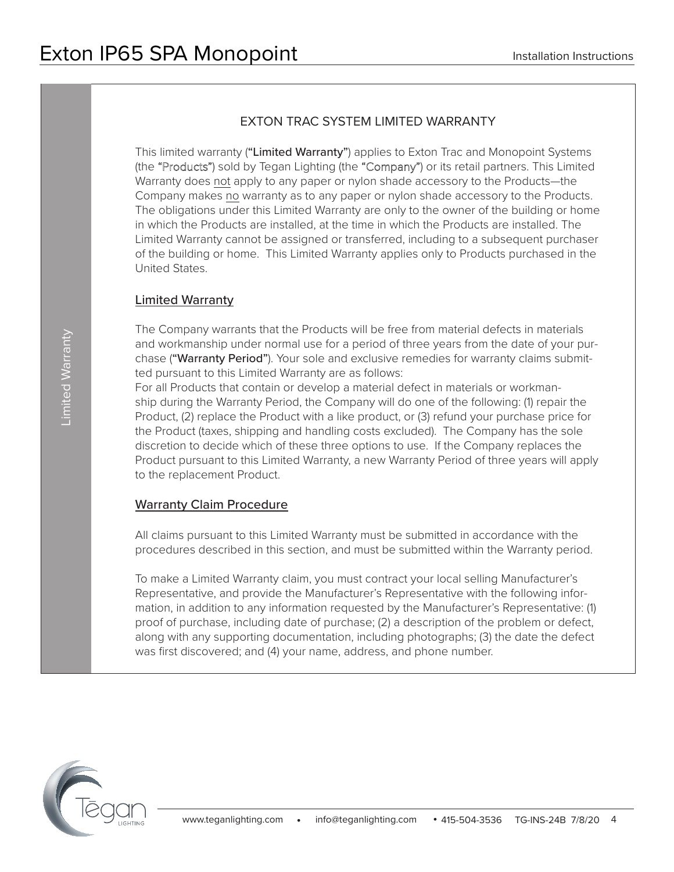# EXTON TRAC SYSTEM LIMITED WARRANTY

This limited warranty ("Limited Warranty") applies to Exton Trac and Monopoint Systems (the "Products") sold by Tegan Lighting (the "Company") or its retail partners. This Limited Warranty does not apply to any paper or nylon shade accessory to the Products—the Company makes no warranty as to any paper or nylon shade accessory to the Products. The obligations under this Limited Warranty are only to the owner of the building or home in which the Products are installed, at the time in which the Products are installed. The Limited Warranty cannot be assigned or transferred, including to a subsequent purchaser of the building or home. This Limited Warranty applies only to Products purchased in the United States.

### Limited Warranty

The Company warrants that the Products will be free from material defects in materials and workmanship under normal use for a period of three years from the date of your purchase ("Warranty Period"). Your sole and exclusive remedies for warranty claims submitted pursuant to this Limited Warranty are as follows:

For all Products that contain or develop a material defect in materials or workmanship during the Warranty Period, the Company will do one of the following: (1) repair the Product, (2) replace the Product with a like product, or (3) refund your purchase price for the Product (taxes, shipping and handling costs excluded). The Company has the sole discretion to decide which of these three options to use. If the Company replaces the Product pursuant to this Limited Warranty, a new Warranty Period of three years will apply to the replacement Product.

#### Warranty Claim Procedure

All claims pursuant to this Limited Warranty must be submitted in accordance with the procedures described in this section, and must be submitted within the Warranty period.

To make a Limited Warranty claim, you must contract your local selling Manufacturer's Representative, and provide the Manufacturer's Representative with the following information, in addition to any information requested by the Manufacturer's Representative: (1) proof of purchase, including date of purchase; (2) a description of the problem or defect, along with any supporting documentation, including photographs; (3) the date the defect was first discovered; and (4) your name, address, and phone number.

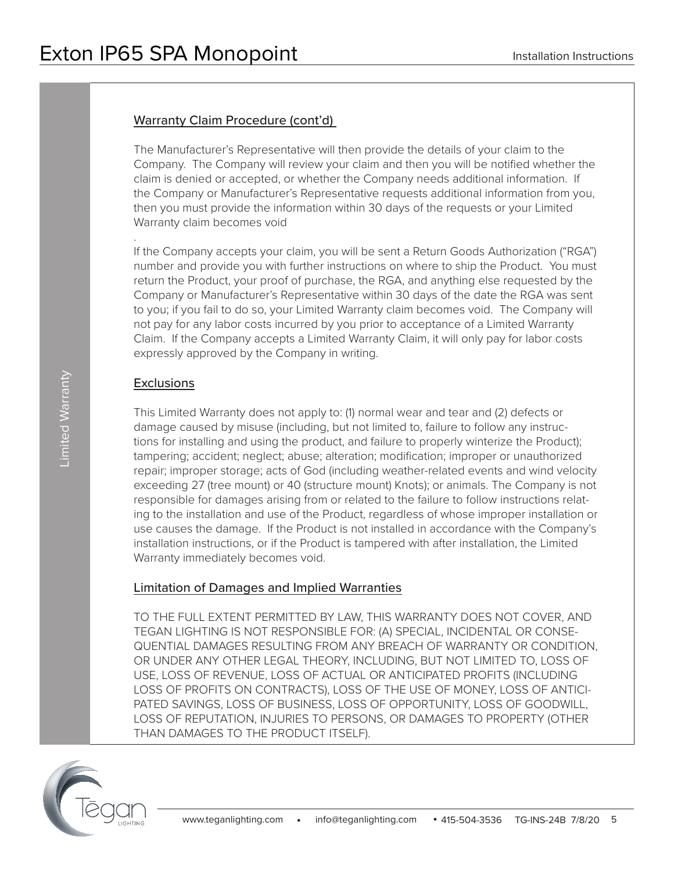### Warranty Claim Procedure (cont'd)

The Manufacturer's Representative will then provide the details of your claim to the Company. The Company will review your claim and then you will be notified whether the claim is denied or accepted, or whether the Company needs additional information. If the Company or Manufacturer's Representative requests additional information from you, then you must provide the information within 30 days of the requests or your Limited Warranty claim becomes void

If the Company accepts your claim, you will be sent a Return Goods Authorization ("RGA") number and provide you with further instructions on where to ship the Product. You must return the Product, your proof of purchase, the RGA, and anything else requested by the Company or Manufacturer's Representative within 30 days of the date the RGA was sent to you; if you fail to do so, your Limited Warranty claim becomes void. The Company will not pay for any labor costs incurred by you prior to acceptance of a Limited Warranty Claim. If the Company accepts a Limited Warranty Claim, it will only pay for labor costs expressly approved by the Company in writing.

#### **Exclusions**

.

This Limited Warranty does not apply to: (1) normal wear and tear and (2) defects or damage caused by misuse (including, but not limited to, failure to follow any instructions for installing and using the product, and failure to properly winterize the Product); tampering; accident; neglect; abuse; alteration; modification; improper or unauthorized repair; improper storage; acts of God (including weather-related events and wind velocity exceeding 27 (tree mount) or 40 (structure mount) Knots); or animals. The Company is not responsible for damages arising from or related to the failure to follow instructions relating to the installation and use of the Product, regardless of whose improper installation or use causes the damage. If the Product is not installed in accordance with the Company's installation instructions, or if the Product is tampered with after installation, the Limited Warranty immediately becomes void.

### Limitation of Damages and Implied Warranties

TO THE FULL EXTENT PERMITTED BY LAW, THIS WARRANTY DOES NOT COVER, AND TEGAN LIGHTING IS NOT RESPONSIBLE FOR: (A) SPECIAL, INCIDENTAL OR CONSE-QUENTIAL DAMAGES RESULTING FROM ANY BREACH OF WARRANTY OR CONDITION, OR UNDER ANY OTHER LEGAL THEORY, INCLUDING, BUT NOT LIMITED TO, LOSS OF USE, LOSS OF REVENUE, LOSS OF ACTUAL OR ANTICIPATED PROFITS (INCLUDING LOSS OF PROFITS ON CONTRACTS), LOSS OF THE USE OF MONEY, LOSS OF ANTICI-PATED SAVINGS, LOSS OF BUSINESS, LOSS OF OPPORTUNITY, LOSS OF GOODWILL, LOSS OF REPUTATION, INJURIES TO PERSONS, OR DAMAGES TO PROPERTY (OTHER THAN DAMAGES TO THE PRODUCT ITSELF).

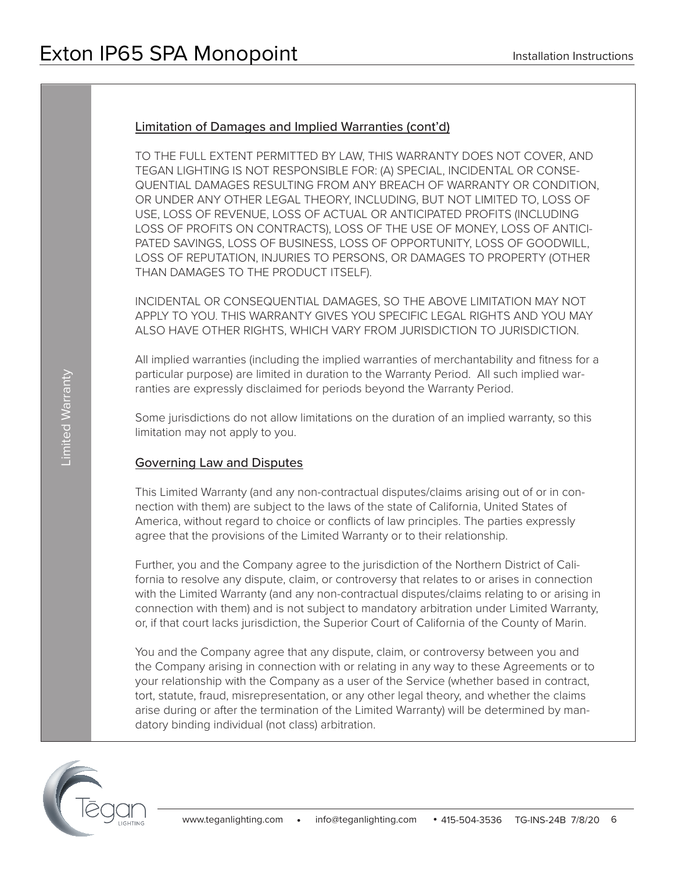### Limitation of Damages and Implied Warranties (cont'd)

TO THE FULL EXTENT PERMITTED BY LAW, THIS WARRANTY DOES NOT COVER, AND TEGAN LIGHTING IS NOT RESPONSIBLE FOR: (A) SPECIAL, INCIDENTAL OR CONSE-QUENTIAL DAMAGES RESULTING FROM ANY BREACH OF WARRANTY OR CONDITION, OR UNDER ANY OTHER LEGAL THEORY, INCLUDING, BUT NOT LIMITED TO, LOSS OF USE, LOSS OF REVENUE, LOSS OF ACTUAL OR ANTICIPATED PROFITS (INCLUDING LOSS OF PROFITS ON CONTRACTS), LOSS OF THE USE OF MONEY, LOSS OF ANTICI-PATED SAVINGS, LOSS OF BUSINESS, LOSS OF OPPORTUNITY, LOSS OF GOODWILL, LOSS OF REPUTATION, INJURIES TO PERSONS, OR DAMAGES TO PROPERTY (OTHER THAN DAMAGES TO THE PRODUCT ITSELF).

INCIDENTAL OR CONSEQUENTIAL DAMAGES, SO THE ABOVE LIMITATION MAY NOT APPLY TO YOU. THIS WARRANTY GIVES YOU SPECIFIC LEGAL RIGHTS AND YOU MAY ALSO HAVE OTHER RIGHTS, WHICH VARY FROM JURISDICTION TO JURISDICTION.

All implied warranties (including the implied warranties of merchantability and fitness for a particular purpose) are limited in duration to the Warranty Period. All such implied warranties are expressly disclaimed for periods beyond the Warranty Period.

Some jurisdictions do not allow limitations on the duration of an implied warranty, so this limitation may not apply to you.

### Governing Law and Disputes

This Limited Warranty (and any non-contractual disputes/claims arising out of or in connection with them) are subject to the laws of the state of California, United States of America, without regard to choice or conflicts of law principles. The parties expressly agree that the provisions of the Limited Warranty or to their relationship.

Further, you and the Company agree to the jurisdiction of the Northern District of California to resolve any dispute, claim, or controversy that relates to or arises in connection with the Limited Warranty (and any non-contractual disputes/claims relating to or arising in connection with them) and is not subject to mandatory arbitration under Limited Warranty, or, if that court lacks jurisdiction, the Superior Court of California of the County of Marin.

You and the Company agree that any dispute, claim, or controversy between you and the Company arising in connection with or relating in any way to these Agreements or to your relationship with the Company as a user of the Service (whether based in contract, tort, statute, fraud, misrepresentation, or any other legal theory, and whether the claims arise during or after the termination of the Limited Warranty) will be determined by mandatory binding individual (not class) arbitration.

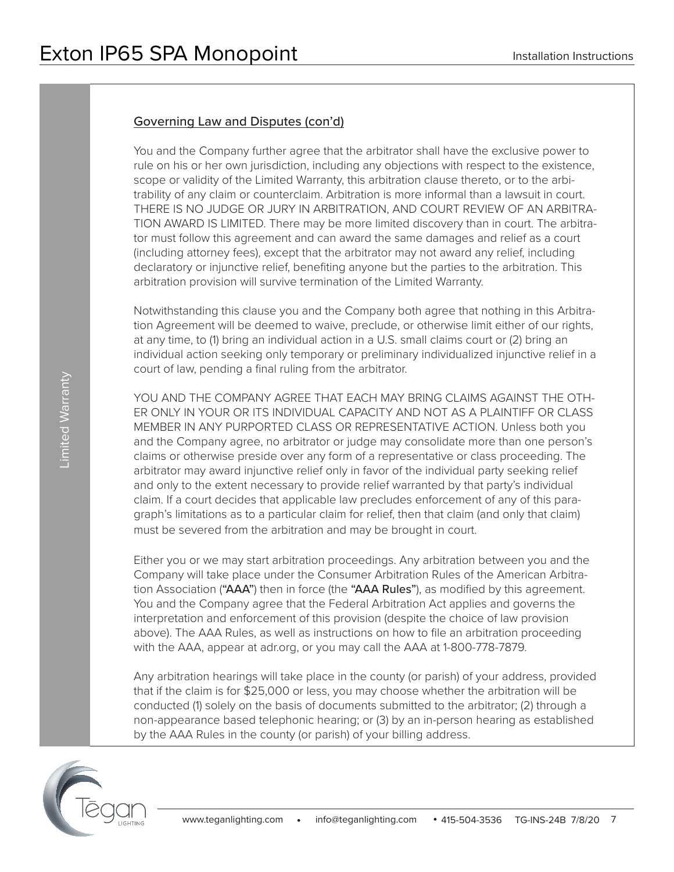## Governing Law and Disputes (con'd)

You and the Company further agree that the arbitrator shall have the exclusive power to rule on his or her own jurisdiction, including any objections with respect to the existence, scope or validity of the Limited Warranty, this arbitration clause thereto, or to the arbitrability of any claim or counterclaim. Arbitration is more informal than a lawsuit in court. THERE IS NO JUDGE OR JURY IN ARBITRATION, AND COURT REVIEW OF AN ARBITRA-TION AWARD IS LIMITED. There may be more limited discovery than in court. The arbitrator must follow this agreement and can award the same damages and relief as a court (including attorney fees), except that the arbitrator may not award any relief, including declaratory or injunctive relief, benefiting anyone but the parties to the arbitration. This arbitration provision will survive termination of the Limited Warranty.

Notwithstanding this clause you and the Company both agree that nothing in this Arbitration Agreement will be deemed to waive, preclude, or otherwise limit either of our rights, at any time, to (1) bring an individual action in a U.S. small claims court or (2) bring an individual action seeking only temporary or preliminary individualized injunctive relief in a court of law, pending a final ruling from the arbitrator.

YOU AND THE COMPANY AGREE THAT EACH MAY BRING CLAIMS AGAINST THE OTH-ER ONLY IN YOUR OR ITS INDIVIDUAL CAPACITY AND NOT AS A PLAINTIFF OR CLASS MEMBER IN ANY PURPORTED CLASS OR REPRESENTATIVE ACTION. Unless both you and the Company agree, no arbitrator or judge may consolidate more than one person's claims or otherwise preside over any form of a representative or class proceeding. The arbitrator may award injunctive relief only in favor of the individual party seeking relief and only to the extent necessary to provide relief warranted by that party's individual claim. If a court decides that applicable law precludes enforcement of any of this paragraph's limitations as to a particular claim for relief, then that claim (and only that claim) must be severed from the arbitration and may be brought in court.

Either you or we may start arbitration proceedings. Any arbitration between you and the Company will take place under the Consumer Arbitration Rules of the American Arbitration Association ("AAA") then in force (the "AAA Rules"), as modified by this agreement. You and the Company agree that the Federal Arbitration Act applies and governs the interpretation and enforcement of this provision (despite the choice of law provision above). The AAA Rules, as well as instructions on how to file an arbitration proceeding with the AAA, appear at adr.org, or you may call the AAA at 1-800-778-7879.

Any arbitration hearings will take place in the county (or parish) of your address, provided that if the claim is for \$25,000 or less, you may choose whether the arbitration will be conducted (1) solely on the basis of documents submitted to the arbitrator; (2) through a non-appearance based telephonic hearing; or (3) by an in-person hearing as established by the AAA Rules in the county (or parish) of your billing address.